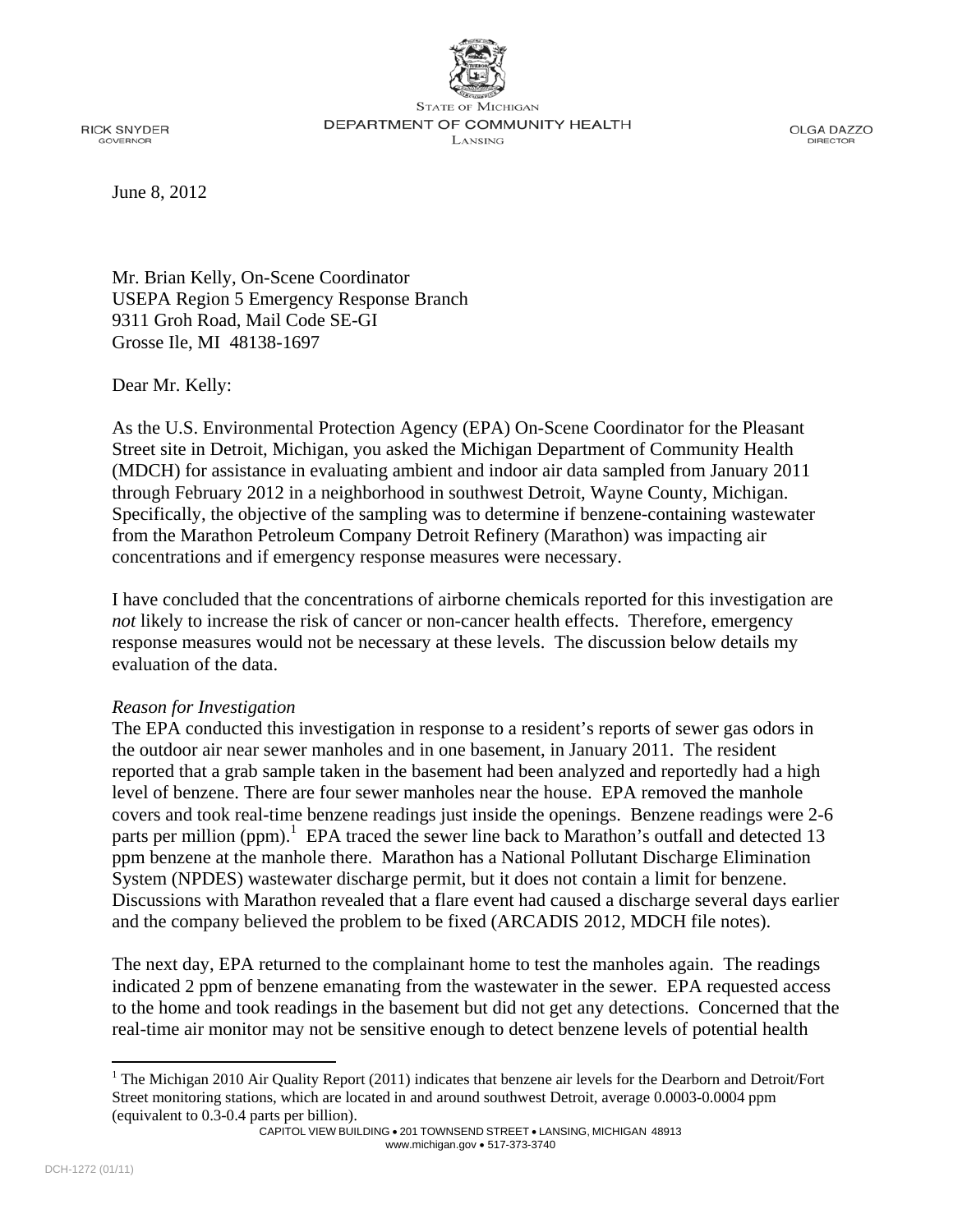**RICK SNYDER** GOVERNOR

**STATE OF MICHIGAN** DEPARTMENT OF COMMUNITY HEALTH LANSING

OLGA DAZZO

June 8, 2012

Mr. Brian Kelly, On-Scene Coordinator USEPA Region 5 Emergency Response Branch 9311 Groh Road, Mail Code SE-GI Grosse Ile, MI 48138-1697

Dear Mr. Kelly:

As the U.S. Environmental Protection Agency (EPA) On-Scene Coordinator for the Pleasant Street site in Detroit, Michigan, you asked the Michigan Department of Community Health (MDCH) for assistance in evaluating ambient and indoor air data sampled from January 2011 through February 2012 in a neighborhood in southwest Detroit, Wayne County, Michigan. Specifically, the objective of the sampling was to determine if benzene-containing wastewater from the Marathon Petroleum Company Detroit Refinery (Marathon) was impacting air concentrations and if emergency response measures were necessary.

I have concluded that the concentrations of airborne chemicals reported for this investigation are *not* likely to increase the risk of cancer or non-cancer health effects. Therefore, emergency response measures would not be necessary at these levels. The discussion below details my evaluation of the data.

## *Reason for Investigation*

The EPA conducted this investigation in response to a resident's reports of sewer gas odors in the outdoor air near sewer manholes and in one basement, in January 2011. The resident reported that a grab sample taken in the basement had been analyzed and reportedly had a high level of benzene. There are four sewer manholes near the house. EPA removed the manhole covers and took real-time benzene readings just inside the openings. Benzene readings were 2-6 parts per million (ppm).<sup>1</sup> EPA traced the sewer line back to Marathon's outfall and detected 13 ppm benzene at the manhole there. Marathon has a National Pollutant Discharge Elimination System (NPDES) wastewater discharge permit, but it does not contain a limit for benzene. Discussions with Marathon revealed that a flare event had caused a discharge several days earlier and the company believed the problem to be fixed (ARCADIS 2012, MDCH file notes).

The next day, EPA returned to the complainant home to test the manholes again. The readings indicated 2 ppm of benzene emanating from the wastewater in the sewer. EPA requested access to the home and took readings in the basement but did not get any detections. Concerned that the real-time air monitor may not be sensitive enough to detect benzene levels of potential health

 $\overline{a}$ 

<sup>&</sup>lt;sup>1</sup> The Michigan 2010 Air Quality Report (2011) indicates that benzene air levels for the Dearborn and Detroit/Fort Street monitoring stations, which are located in and around southwest Detroit, average 0.0003-0.0004 ppm (equivalent to 0.3-0.4 parts per billion).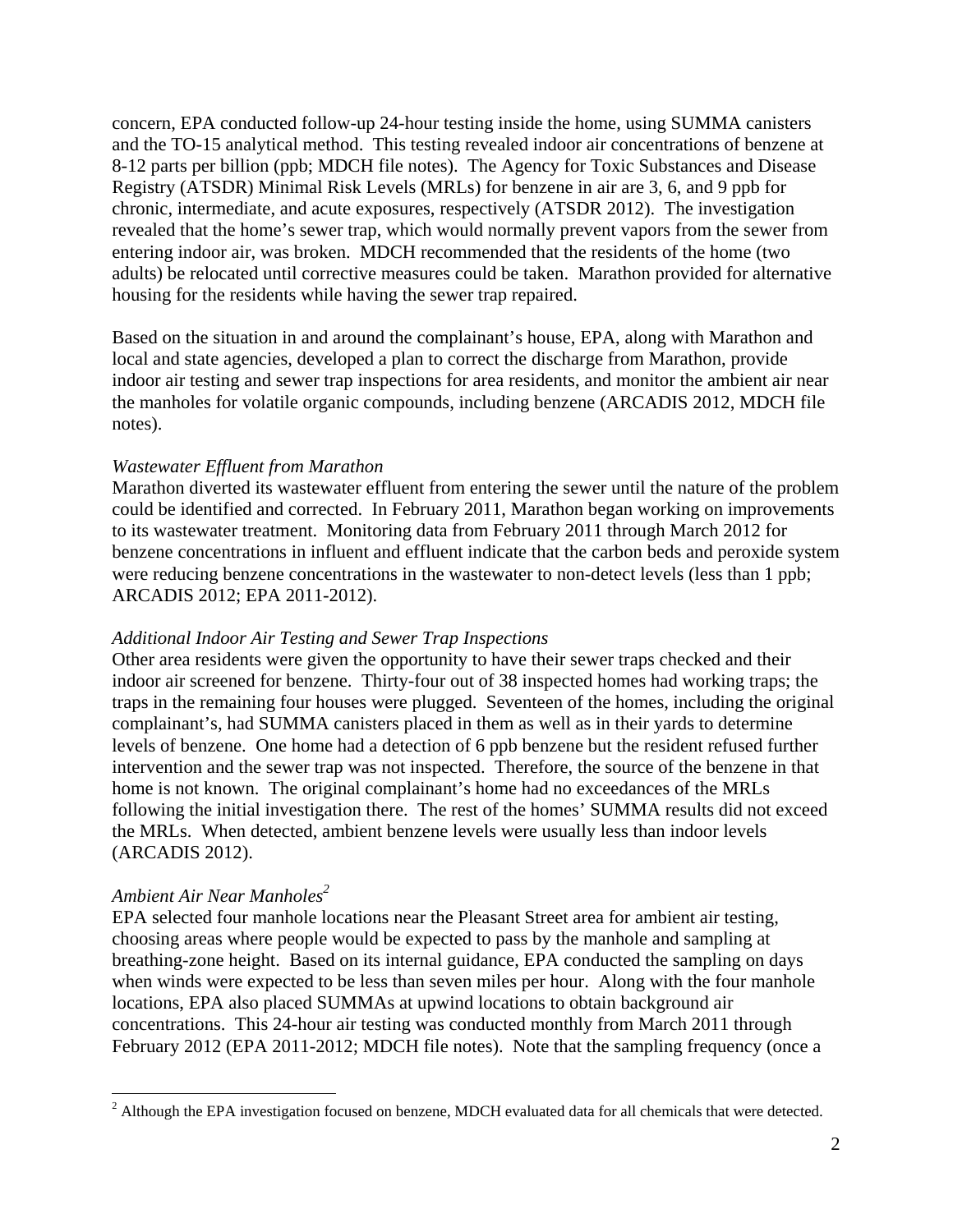concern, EPA conducted follow-up 24-hour testing inside the home, using SUMMA canisters and the TO-15 analytical method. This testing revealed indoor air concentrations of benzene at 8-12 parts per billion (ppb; MDCH file notes). The Agency for Toxic Substances and Disease Registry (ATSDR) Minimal Risk Levels (MRLs) for benzene in air are 3, 6, and 9 ppb for chronic, intermediate, and acute exposures, respectively (ATSDR 2012). The investigation revealed that the home's sewer trap, which would normally prevent vapors from the sewer from entering indoor air, was broken. MDCH recommended that the residents of the home (two adults) be relocated until corrective measures could be taken. Marathon provided for alternative housing for the residents while having the sewer trap repaired.

Based on the situation in and around the complainant's house, EPA, along with Marathon and local and state agencies, developed a plan to correct the discharge from Marathon, provide indoor air testing and sewer trap inspections for area residents, and monitor the ambient air near the manholes for volatile organic compounds, including benzene (ARCADIS 2012, MDCH file notes).

## *Wastewater Effluent from Marathon*

Marathon diverted its wastewater effluent from entering the sewer until the nature of the problem could be identified and corrected. In February 2011, Marathon began working on improvements to its wastewater treatment. Monitoring data from February 2011 through March 2012 for benzene concentrations in influent and effluent indicate that the carbon beds and peroxide system were reducing benzene concentrations in the wastewater to non-detect levels (less than 1 ppb; ARCADIS 2012; EPA 2011-2012).

## *Additional Indoor Air Testing and Sewer Trap Inspections*

Other area residents were given the opportunity to have their sewer traps checked and their indoor air screened for benzene. Thirty-four out of 38 inspected homes had working traps; the traps in the remaining four houses were plugged. Seventeen of the homes, including the original complainant's, had SUMMA canisters placed in them as well as in their yards to determine levels of benzene. One home had a detection of 6 ppb benzene but the resident refused further intervention and the sewer trap was not inspected. Therefore, the source of the benzene in that home is not known. The original complainant's home had no exceedances of the MRLs following the initial investigation there. The rest of the homes' SUMMA results did not exceed the MRLs. When detected, ambient benzene levels were usually less than indoor levels (ARCADIS 2012).

## *Ambient Air Near Manholes2*

 $\overline{a}$ 

EPA selected four manhole locations near the Pleasant Street area for ambient air testing, choosing areas where people would be expected to pass by the manhole and sampling at breathing-zone height. Based on its internal guidance, EPA conducted the sampling on days when winds were expected to be less than seven miles per hour. Along with the four manhole locations, EPA also placed SUMMAs at upwind locations to obtain background air concentrations. This 24-hour air testing was conducted monthly from March 2011 through February 2012 (EPA 2011-2012; MDCH file notes). Note that the sampling frequency (once a

 $2$  Although the EPA investigation focused on benzene, MDCH evaluated data for all chemicals that were detected.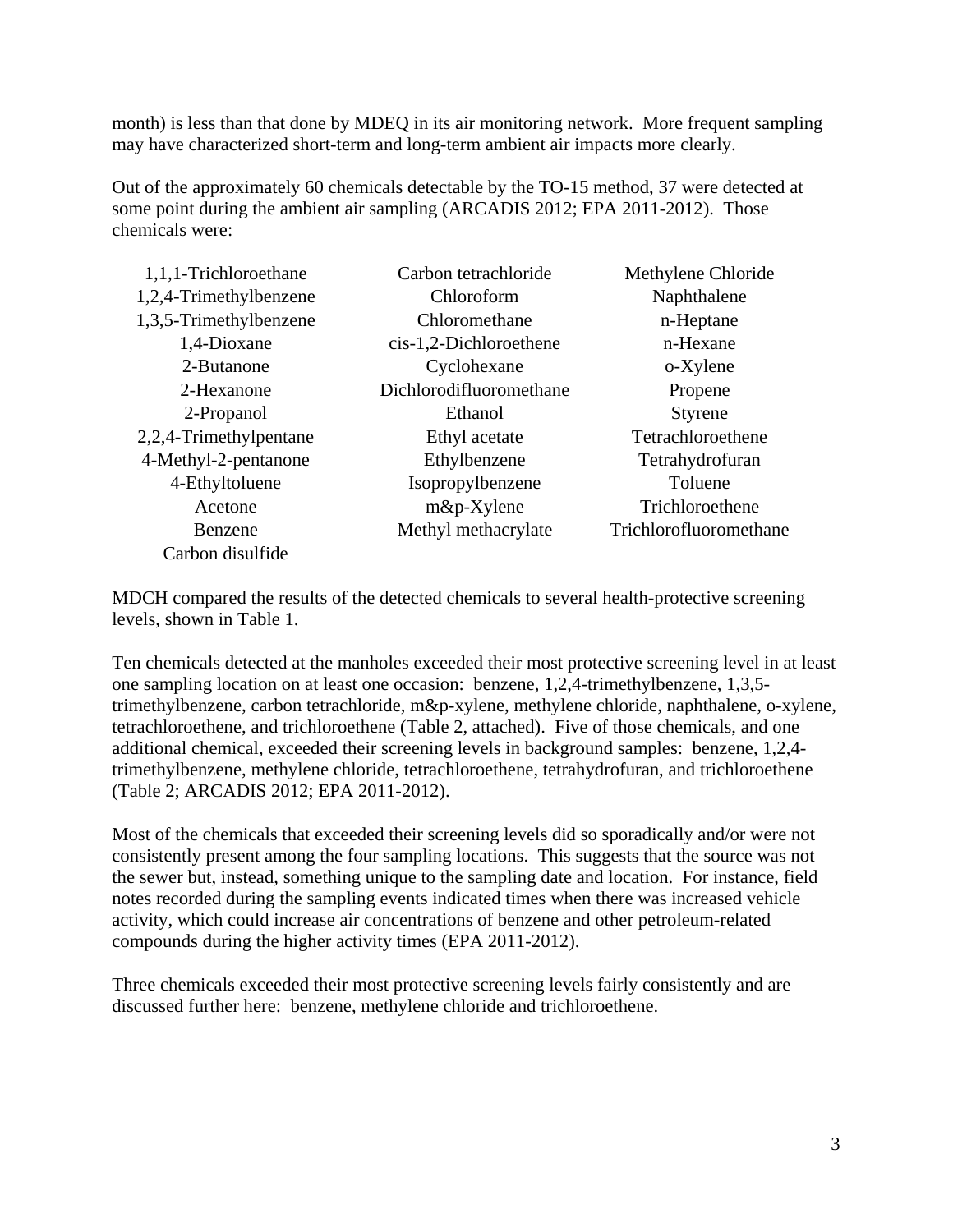month) is less than that done by MDEQ in its air monitoring network. More frequent sampling may have characterized short-term and long-term ambient air impacts more clearly.

Out of the approximately 60 chemicals detectable by the TO-15 method, 37 were detected at some point during the ambient air sampling (ARCADIS 2012; EPA 2011-2012). Those chemicals were:

| 1,1,1-Trichloroethane  | Carbon tetrachloride    | Methylene Chloride     |
|------------------------|-------------------------|------------------------|
| 1,2,4-Trimethylbenzene | Chloroform              | Naphthalene            |
| 1,3,5-Trimethylbenzene | Chloromethane           | n-Heptane              |
| 1,4-Dioxane            | cis-1,2-Dichloroethene  | n-Hexane               |
| 2-Butanone             | Cyclohexane             | o-Xylene               |
| 2-Hexanone             | Dichlorodifluoromethane | Propene                |
| 2-Propanol             | Ethanol                 | <b>Styrene</b>         |
| 2,2,4-Trimethylpentane | Ethyl acetate           | Tetrachloroethene      |
| 4-Methyl-2-pentanone   | Ethylbenzene            | Tetrahydrofuran        |
| 4-Ethyltoluene         | Isopropylbenzene        | Toluene                |
| Acetone                | $m&p$ -Xylene           | Trichloroethene        |
| Benzene                | Methyl methacrylate     | Trichlorofluoromethane |
| Carbon disulfide       |                         |                        |

MDCH compared the results of the detected chemicals to several health-protective screening levels, shown in Table 1.

Ten chemicals detected at the manholes exceeded their most protective screening level in at least one sampling location on at least one occasion: benzene, 1,2,4-trimethylbenzene, 1,3,5 trimethylbenzene, carbon tetrachloride, m&p-xylene, methylene chloride, naphthalene, o-xylene, tetrachloroethene, and trichloroethene (Table 2, attached). Five of those chemicals, and one additional chemical, exceeded their screening levels in background samples: benzene, 1,2,4 trimethylbenzene, methylene chloride, tetrachloroethene, tetrahydrofuran, and trichloroethene (Table 2; ARCADIS 2012; EPA 2011-2012).

Most of the chemicals that exceeded their screening levels did so sporadically and/or were not consistently present among the four sampling locations. This suggests that the source was not the sewer but, instead, something unique to the sampling date and location. For instance, field notes recorded during the sampling events indicated times when there was increased vehicle activity, which could increase air concentrations of benzene and other petroleum-related compounds during the higher activity times (EPA 2011-2012).

Three chemicals exceeded their most protective screening levels fairly consistently and are discussed further here: benzene, methylene chloride and trichloroethene.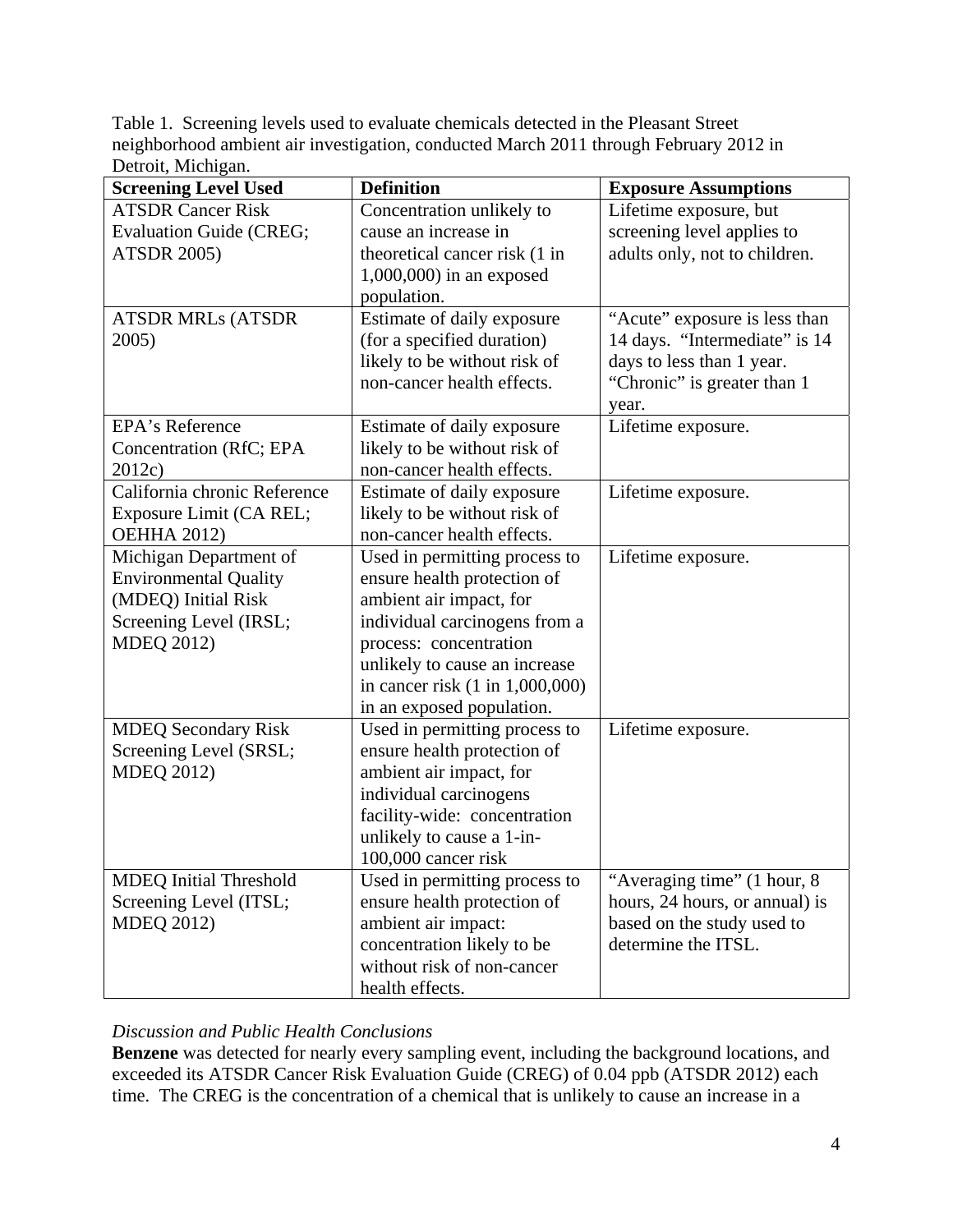Table 1. Screening levels used to evaluate chemicals detected in the Pleasant Street neighborhood ambient air investigation, conducted March 2011 through February 2012 in Detroit, Michigan.

| <b>Screening Level Used</b>    | <b>Definition</b>                          | <b>Exposure Assumptions</b>    |
|--------------------------------|--------------------------------------------|--------------------------------|
| <b>ATSDR Cancer Risk</b>       | Concentration unlikely to                  | Lifetime exposure, but         |
| <b>Evaluation Guide (CREG;</b> | cause an increase in                       | screening level applies to     |
| <b>ATSDR 2005)</b>             | theoretical cancer risk (1 in              | adults only, not to children.  |
|                                | 1,000,000) in an exposed                   |                                |
|                                | population.                                |                                |
| <b>ATSDR MRLs (ATSDR</b>       | Estimate of daily exposure                 | "Acute" exposure is less than  |
| 2005)                          | (for a specified duration)                 | 14 days. "Intermediate" is 14  |
|                                | likely to be without risk of               | days to less than 1 year.      |
|                                | non-cancer health effects.                 | "Chronic" is greater than 1    |
|                                |                                            | year.                          |
| EPA's Reference                | Estimate of daily exposure                 | Lifetime exposure.             |
| Concentration (RfC; EPA        | likely to be without risk of               |                                |
| 2012c                          | non-cancer health effects.                 |                                |
| California chronic Reference   | Estimate of daily exposure                 | Lifetime exposure.             |
| Exposure Limit (CA REL;        | likely to be without risk of               |                                |
| <b>OEHHA 2012)</b>             | non-cancer health effects.                 |                                |
| Michigan Department of         | Used in permitting process to              | Lifetime exposure.             |
| <b>Environmental Quality</b>   | ensure health protection of                |                                |
| (MDEQ) Initial Risk            | ambient air impact, for                    |                                |
| Screening Level (IRSL;         | individual carcinogens from a              |                                |
| <b>MDEQ 2012)</b>              | process: concentration                     |                                |
|                                | unlikely to cause an increase              |                                |
|                                | in cancer risk $(1 \text{ in } 1,000,000)$ |                                |
|                                | in an exposed population.                  |                                |
| <b>MDEQ Secondary Risk</b>     | Used in permitting process to              | Lifetime exposure.             |
| Screening Level (SRSL;         | ensure health protection of                |                                |
| <b>MDEQ 2012)</b>              | ambient air impact, for                    |                                |
|                                | individual carcinogens                     |                                |
|                                | facility-wide: concentration               |                                |
|                                | unlikely to cause a 1-in-                  |                                |
|                                | 100,000 cancer risk                        |                                |
| <b>MDEQ Initial Threshold</b>  | Used in permitting process to              | "Averaging time" (1 hour, 8)   |
| Screening Level (ITSL;         | ensure health protection of                | hours, 24 hours, or annual) is |
| <b>MDEQ 2012)</b>              | ambient air impact:                        | based on the study used to     |
|                                | concentration likely to be                 | determine the ITSL.            |
|                                | without risk of non-cancer                 |                                |
|                                | health effects.                            |                                |

# *Discussion and Public Health Conclusions*

**Benzene** was detected for nearly every sampling event, including the background locations, and exceeded its ATSDR Cancer Risk Evaluation Guide (CREG) of 0.04 ppb (ATSDR 2012) each time. The CREG is the concentration of a chemical that is unlikely to cause an increase in a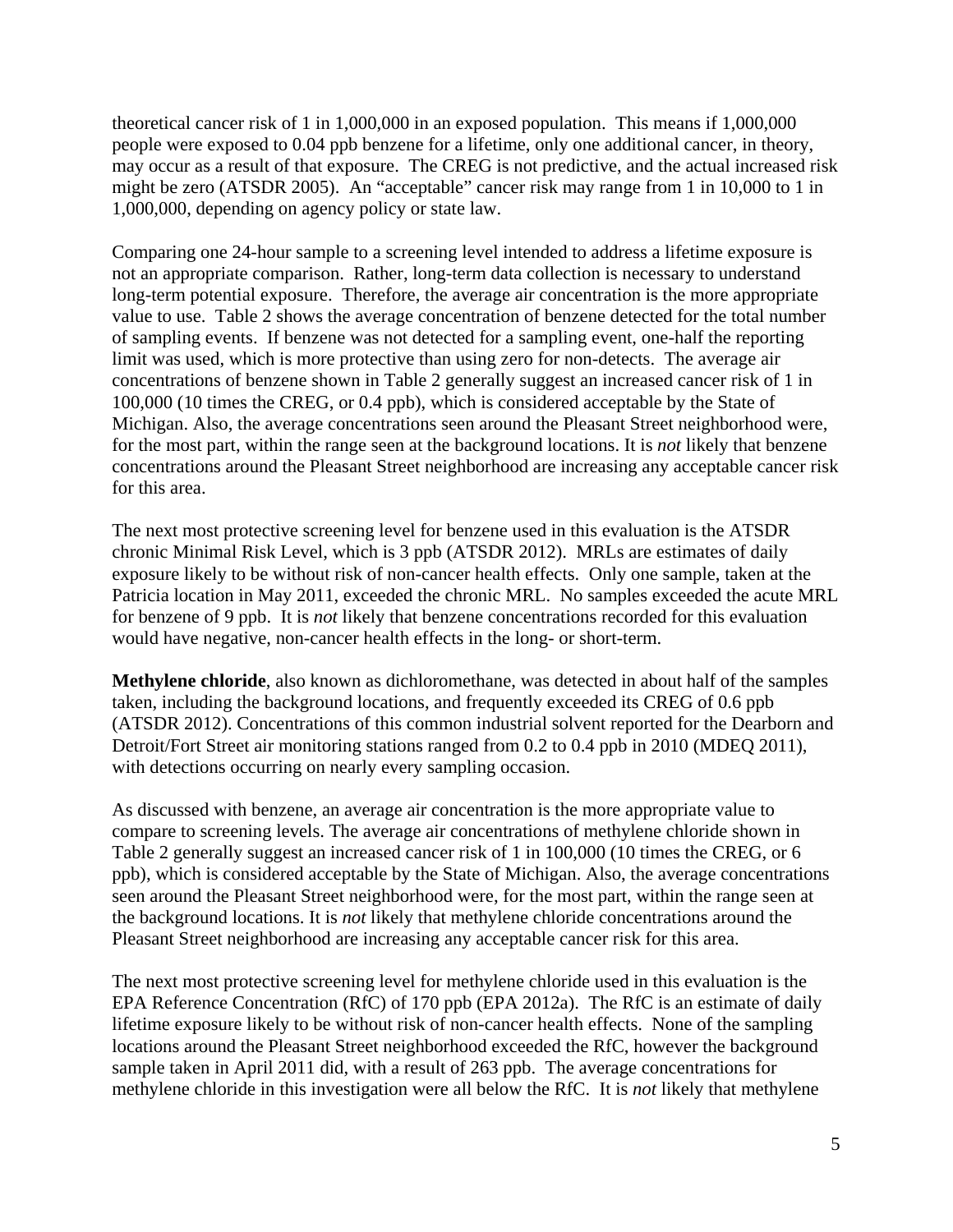theoretical cancer risk of 1 in 1,000,000 in an exposed population. This means if 1,000,000 people were exposed to 0.04 ppb benzene for a lifetime, only one additional cancer, in theory, may occur as a result of that exposure. The CREG is not predictive, and the actual increased risk might be zero (ATSDR 2005). An "acceptable" cancer risk may range from 1 in 10,000 to 1 in 1,000,000, depending on agency policy or state law.

Comparing one 24-hour sample to a screening level intended to address a lifetime exposure is not an appropriate comparison. Rather, long-term data collection is necessary to understand long-term potential exposure. Therefore, the average air concentration is the more appropriate value to use. Table 2 shows the average concentration of benzene detected for the total number of sampling events. If benzene was not detected for a sampling event, one-half the reporting limit was used, which is more protective than using zero for non-detects. The average air concentrations of benzene shown in Table 2 generally suggest an increased cancer risk of 1 in 100,000 (10 times the CREG, or 0.4 ppb), which is considered acceptable by the State of Michigan. Also, the average concentrations seen around the Pleasant Street neighborhood were, for the most part, within the range seen at the background locations. It is *not* likely that benzene concentrations around the Pleasant Street neighborhood are increasing any acceptable cancer risk for this area.

The next most protective screening level for benzene used in this evaluation is the ATSDR chronic Minimal Risk Level, which is 3 ppb (ATSDR 2012). MRLs are estimates of daily exposure likely to be without risk of non-cancer health effects. Only one sample, taken at the Patricia location in May 2011, exceeded the chronic MRL. No samples exceeded the acute MRL for benzene of 9 ppb. It is *not* likely that benzene concentrations recorded for this evaluation would have negative, non-cancer health effects in the long- or short-term.

**Methylene chloride**, also known as dichloromethane, was detected in about half of the samples taken, including the background locations, and frequently exceeded its CREG of 0.6 ppb (ATSDR 2012). Concentrations of this common industrial solvent reported for the Dearborn and Detroit/Fort Street air monitoring stations ranged from 0.2 to 0.4 ppb in 2010 (MDEQ 2011), with detections occurring on nearly every sampling occasion.

As discussed with benzene, an average air concentration is the more appropriate value to compare to screening levels. The average air concentrations of methylene chloride shown in Table 2 generally suggest an increased cancer risk of 1 in 100,000 (10 times the CREG, or 6 ppb), which is considered acceptable by the State of Michigan. Also, the average concentrations seen around the Pleasant Street neighborhood were, for the most part, within the range seen at the background locations. It is *not* likely that methylene chloride concentrations around the Pleasant Street neighborhood are increasing any acceptable cancer risk for this area.

The next most protective screening level for methylene chloride used in this evaluation is the EPA Reference Concentration (RfC) of 170 ppb (EPA 2012a). The RfC is an estimate of daily lifetime exposure likely to be without risk of non-cancer health effects. None of the sampling locations around the Pleasant Street neighborhood exceeded the RfC, however the background sample taken in April 2011 did, with a result of 263 ppb. The average concentrations for methylene chloride in this investigation were all below the RfC. It is *not* likely that methylene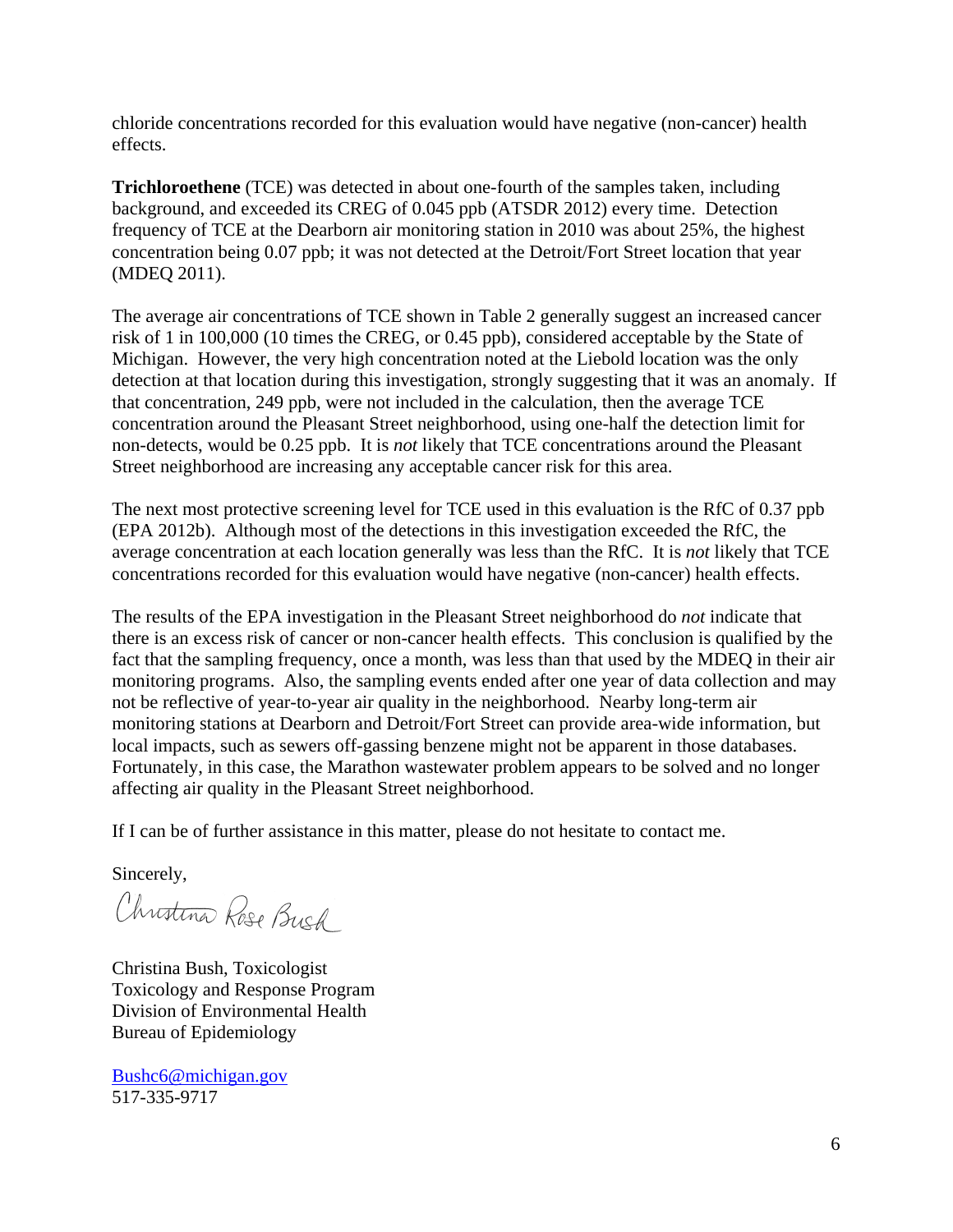chloride concentrations recorded for this evaluation would have negative (non-cancer) health effects.

**Trichloroethene** (TCE) was detected in about one-fourth of the samples taken, including background, and exceeded its CREG of 0.045 ppb (ATSDR 2012) every time. Detection frequency of TCE at the Dearborn air monitoring station in 2010 was about 25%, the highest concentration being 0.07 ppb; it was not detected at the Detroit/Fort Street location that year (MDEQ 2011).

The average air concentrations of TCE shown in Table 2 generally suggest an increased cancer risk of 1 in 100,000 (10 times the CREG, or 0.45 ppb), considered acceptable by the State of Michigan. However, the very high concentration noted at the Liebold location was the only detection at that location during this investigation, strongly suggesting that it was an anomaly. If that concentration, 249 ppb, were not included in the calculation, then the average TCE concentration around the Pleasant Street neighborhood, using one-half the detection limit for non-detects, would be 0.25 ppb. It is *not* likely that TCE concentrations around the Pleasant Street neighborhood are increasing any acceptable cancer risk for this area.

The next most protective screening level for TCE used in this evaluation is the RfC of 0.37 ppb (EPA 2012b). Although most of the detections in this investigation exceeded the RfC, the average concentration at each location generally was less than the RfC. It is *not* likely that TCE concentrations recorded for this evaluation would have negative (non-cancer) health effects.

The results of the EPA investigation in the Pleasant Street neighborhood do *not* indicate that there is an excess risk of cancer or non-cancer health effects. This conclusion is qualified by the fact that the sampling frequency, once a month, was less than that used by the MDEQ in their air monitoring programs. Also, the sampling events ended after one year of data collection and may not be reflective of year-to-year air quality in the neighborhood. Nearby long-term air monitoring stations at Dearborn and Detroit/Fort Street can provide area-wide information, but local impacts, such as sewers off-gassing benzene might not be apparent in those databases. Fortunately, in this case, the Marathon wastewater problem appears to be solved and no longer affecting air quality in the Pleasant Street neighborhood.

If I can be of further assistance in this matter, please do not hesitate to contact me.

Sincerely,

Christina Rose Bush

Christina Bush, Toxicologist Toxicology and Response Program Division of Environmental Health Bureau of Epidemiology

Bushc6@michigan.gov 517-335-9717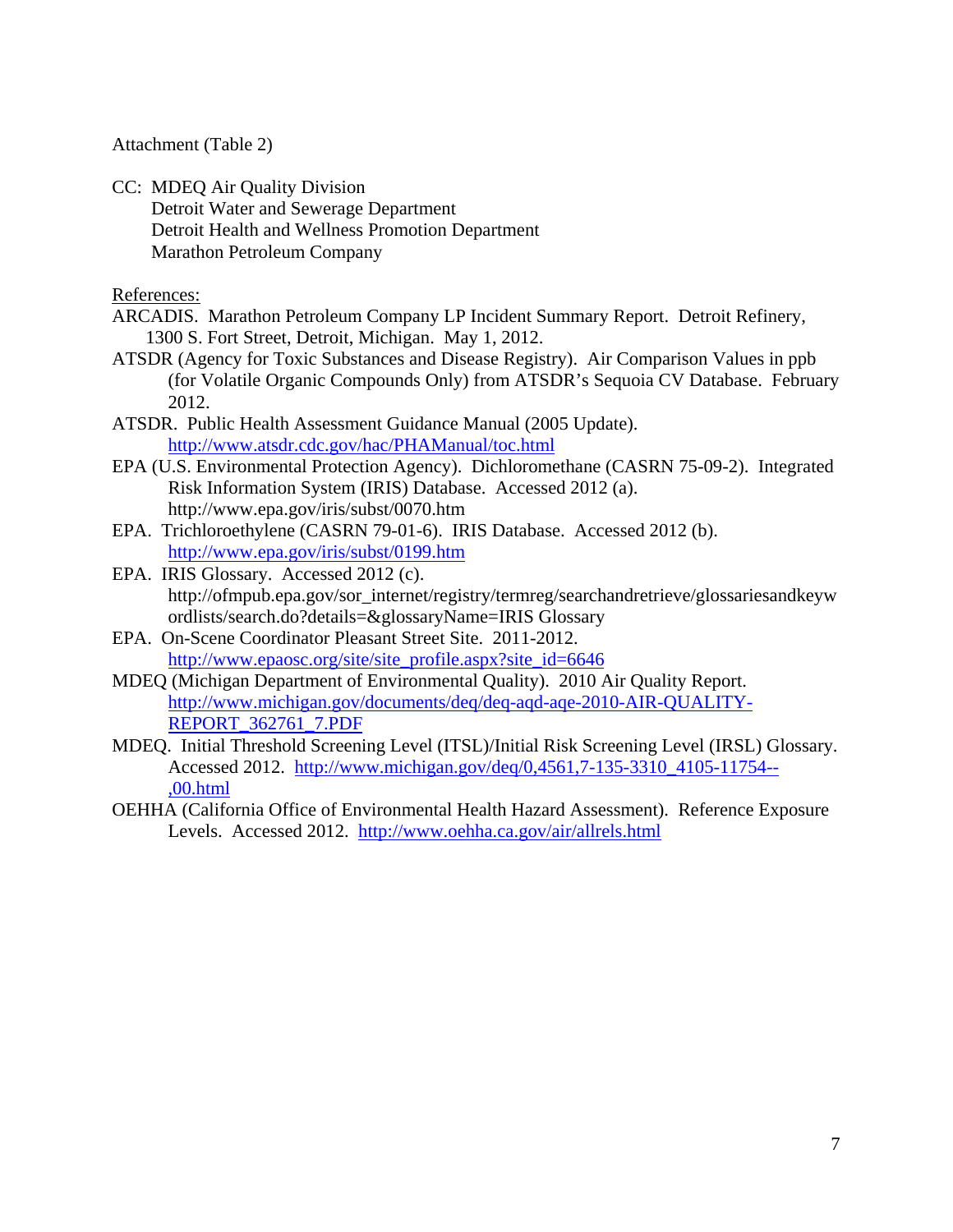Attachment (Table 2)

CC: MDEQ Air Quality Division Detroit Water and Sewerage Department Detroit Health and Wellness Promotion Department Marathon Petroleum Company

References:

- ARCADIS. Marathon Petroleum Company LP Incident Summary Report. Detroit Refinery, 1300 S. Fort Street, Detroit, Michigan. May 1, 2012.
- ATSDR (Agency for Toxic Substances and Disease Registry). Air Comparison Values in ppb (for Volatile Organic Compounds Only) from ATSDR's Sequoia CV Database. February 2012.
- ATSDR. Public Health Assessment Guidance Manual (2005 Update). http://www.atsdr.cdc.gov/hac/PHAManual/toc.html
- EPA (U.S. Environmental Protection Agency). Dichloromethane (CASRN 75-09-2). Integrated Risk Information System (IRIS) Database. Accessed 2012 (a). http://www.epa.gov/iris/subst/0070.htm
- EPA. Trichloroethylene (CASRN 79-01-6). IRIS Database. Accessed 2012 (b). http://www.epa.gov/iris/subst/0199.htm
- EPA. IRIS Glossary. Accessed 2012 (c). http://ofmpub.epa.gov/sor\_internet/registry/termreg/searchandretrieve/glossariesandkeyw ordlists/search.do?details=&glossaryName=IRIS Glossary
- EPA. On-Scene Coordinator Pleasant Street Site. 2011-2012. http://www.epaosc.org/site/site\_profile.aspx?site\_id=6646
- MDEQ (Michigan Department of Environmental Quality). 2010 Air Quality Report. http://www.michigan.gov/documents/deq/deq-aqd-aqe-2010-AIR-QUALITY-REPORT\_362761\_7.PDF
- MDEQ. Initial Threshold Screening Level (ITSL)/Initial Risk Screening Level (IRSL) Glossary. Accessed 2012. http://www.michigan.gov/deq/0,4561,7-135-3310\_4105-11754-- ,00.html
- OEHHA (California Office of Environmental Health Hazard Assessment). Reference Exposure Levels. Accessed 2012. http://www.oehha.ca.gov/air/allrels.html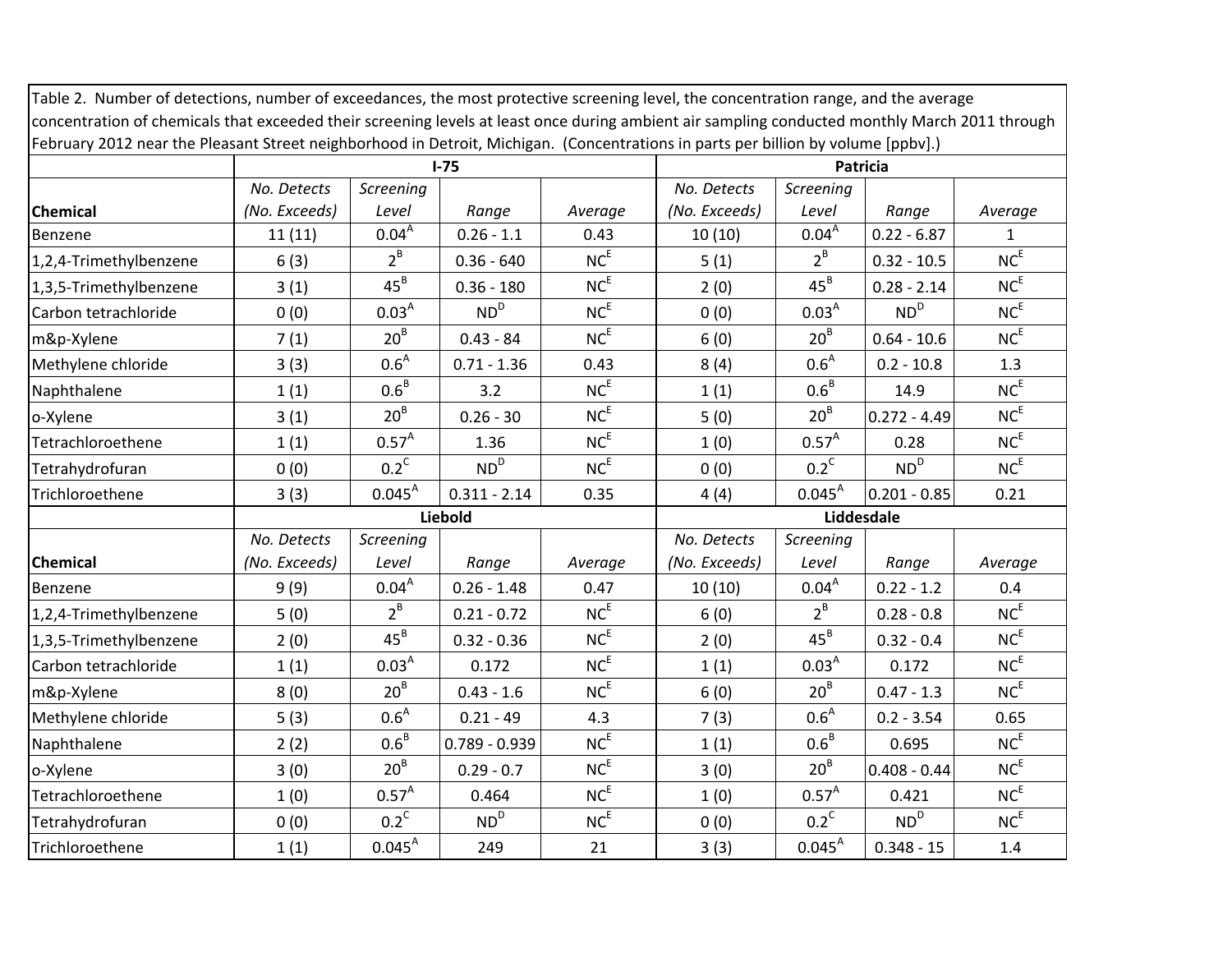| Table 2. Number of detections, number of exceedances, the most protective screening level, the concentration range, and the average            |                                                                                                                                   |                     |                 |                 |                                      |                   |                 |                 |
|------------------------------------------------------------------------------------------------------------------------------------------------|-----------------------------------------------------------------------------------------------------------------------------------|---------------------|-----------------|-----------------|--------------------------------------|-------------------|-----------------|-----------------|
| concentration of chemicals that exceeded their screening levels at least once during ambient air sampling conducted monthly March 2011 through |                                                                                                                                   |                     |                 |                 |                                      |                   |                 |                 |
|                                                                                                                                                | February 2012 near the Pleasant Street neighborhood in Detroit, Michigan. (Concentrations in parts per billion by volume [ppbv].) |                     |                 |                 |                                      |                   |                 |                 |
|                                                                                                                                                | No. Detects                                                                                                                       | $I-75$<br>Screening |                 |                 | Patricia<br>Screening<br>No. Detects |                   |                 |                 |
| Chemical                                                                                                                                       | (No. Exceeds)                                                                                                                     | Level               | Range           | Average         | (No. Exceeds)                        | Level             | Range           | Average         |
| Benzene                                                                                                                                        | 11(11)                                                                                                                            | $0.04^{A}$          | $0.26 - 1.1$    | 0.43            | 10(10)                               | $0.04^{A}$        | $0.22 - 6.87$   | 1               |
| 1,2,4-Trimethylbenzene                                                                                                                         | 6(3)                                                                                                                              | $2^B$               | $0.36 - 640$    | NC <sup>E</sup> | 5(1)                                 | $2^B$             | $0.32 - 10.5$   | NC <sup>E</sup> |
| 1,3,5-Trimethylbenzene                                                                                                                         | 3(1)                                                                                                                              | $45^B$              | $0.36 - 180$    | $NC^E$          | 2(0)                                 | $45^B$            | $0.28 - 2.14$   | NC <sup>E</sup> |
| Carbon tetrachloride                                                                                                                           | 0(0)                                                                                                                              | 0.03 <sup>A</sup>   | ND <sup>D</sup> | $NC^E$          | 0(0)                                 | 0.03 <sup>A</sup> | ND <sup>D</sup> | NC <sup>E</sup> |
| m&p-Xylene                                                                                                                                     | 7(1)                                                                                                                              | $20^B$              | $0.43 - 84$     | $NC^E$          | 6(0)                                 | $20^B$            | $0.64 - 10.6$   | NC <sup>E</sup> |
| Methylene chloride                                                                                                                             | 3(3)                                                                                                                              | 0.6 <sup>A</sup>    | $0.71 - 1.36$   | 0.43            | 8(4)                                 | 0.6 <sup>A</sup>  | $0.2 - 10.8$    | 1.3             |
| Naphthalene                                                                                                                                    | 1(1)                                                                                                                              | $0.6^B$             | 3.2             | $NC^E$          | 1(1)                                 | $0.6^B$           | 14.9            | $NC^E$          |
| o-Xylene                                                                                                                                       | 3(1)                                                                                                                              | $20^B$              | $0.26 - 30$     | $NC^E$          | 5(0)                                 | $20^B$            | $0.272 - 4.49$  | $NC^E$          |
| Tetrachloroethene                                                                                                                              | 1(1)                                                                                                                              | $0.57^{A}$          | 1.36            | NC <sup>E</sup> | 1(0)                                 | $0.57^{A}$        | 0.28            | $NC^E$          |
| Tetrahydrofuran                                                                                                                                | 0(0)                                                                                                                              | $0.2^{\circ}$       | ND <sup>D</sup> | $NC^E$          | 0(0)                                 | $0.2^C$           | ND <sup>D</sup> | NC <sup>E</sup> |
| Trichloroethene                                                                                                                                | 3(3)                                                                                                                              | $0.045^{A}$         | $0.311 - 2.14$  | 0.35            | 4(4)                                 | $0.045^{A}$       | $0.201 - 0.85$  | 0.21            |
|                                                                                                                                                | Liebold                                                                                                                           |                     |                 |                 | Liddesdale                           |                   |                 |                 |
|                                                                                                                                                | No. Detects                                                                                                                       | Screening           |                 |                 | No. Detects                          | Screening         |                 |                 |
| <b>Chemical</b>                                                                                                                                | (No. Exceeds)                                                                                                                     | Level               | Range           | Average         | (No. Exceeds)                        | Level             | Range           | Average         |
| Benzene                                                                                                                                        | 9(9)                                                                                                                              | $0.04^{A}$          | $0.26 - 1.48$   | 0.47            | 10(10)                               | 0.04 <sup>A</sup> | $0.22 - 1.2$    | 0.4             |
| 1,2,4-Trimethylbenzene                                                                                                                         | 5(0)                                                                                                                              | $2^B$               | $0.21 - 0.72$   | $NC^E$          | 6(0)                                 | $2^B$             | $0.28 - 0.8$    | NC <sup>E</sup> |
| 1,3,5-Trimethylbenzene                                                                                                                         | 2(0)                                                                                                                              | $45^B$              | $0.32 - 0.36$   | NC <sup>E</sup> | 2(0)                                 | $45^B$            | $0.32 - 0.4$    | NC <sup>E</sup> |
| Carbon tetrachloride                                                                                                                           | 1(1)                                                                                                                              | 0.03 <sup>A</sup>   | 0.172           | $NC^E$          | 1(1)                                 | 0.03 <sup>A</sup> | 0.172           | NC <sup>E</sup> |
| m&p-Xylene                                                                                                                                     | 8(0)                                                                                                                              | $20^B$              | $0.43 - 1.6$    | $NC^E$          | 6(0)                                 | $20^B$            | $0.47 - 1.3$    | NC <sup>E</sup> |
| Methylene chloride                                                                                                                             | 5(3)                                                                                                                              | 0.6 <sup>A</sup>    | $0.21 - 49$     | 4.3             | 7(3)                                 | 0.6 <sup>A</sup>  | $0.2 - 3.54$    | 0.65            |
| Naphthalene                                                                                                                                    | 2(2)                                                                                                                              | $0.6^B$             | $0.789 - 0.939$ | NC <sup>E</sup> | 1(1)                                 | $0.6^B$           | 0.695           | NC <sup>E</sup> |
| o-Xylene                                                                                                                                       | 3(0)                                                                                                                              | $20^B$              | $0.29 - 0.7$    | $NC^E$          | 3(0)                                 | $20^B$            | $0.408 - 0.44$  | $NC^E$          |
| Tetrachloroethene                                                                                                                              | 1(0)                                                                                                                              | $0.57^{A}$          | 0.464           | $NC^E$          | 1(0)                                 | $0.57^{A}$        | 0.421           | NC <sup>E</sup> |
| Tetrahydrofuran                                                                                                                                | 0(0)                                                                                                                              | $0.2^C$             | ND <sup>D</sup> | $NC^E$          | 0(0)                                 | $0.2^C$           | ND <sup>D</sup> | $NC^E$          |
| Trichloroethene                                                                                                                                | 1(1)                                                                                                                              | $0.045^{A}$         | 249             | 21              | 3(3)                                 | $0.045^{A}$       | $0.348 - 15$    | $1.4\,$         |